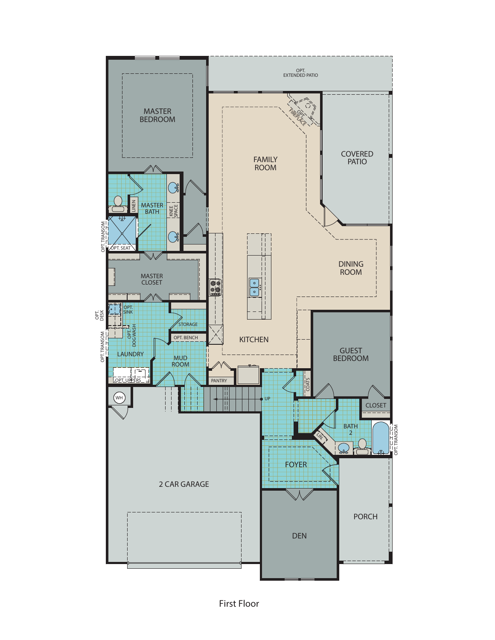

*First Floor*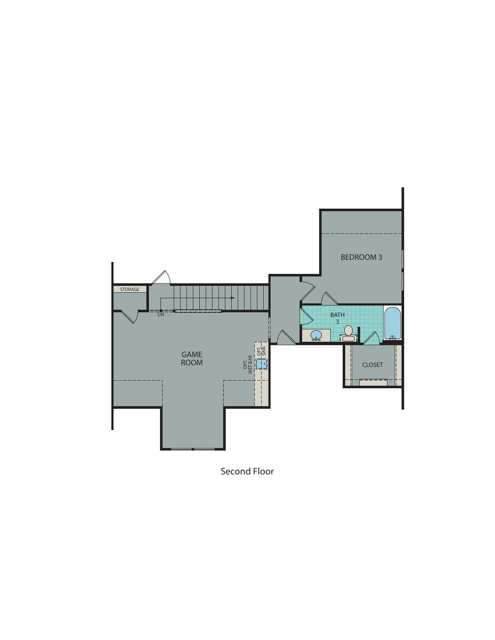

*Second Floor*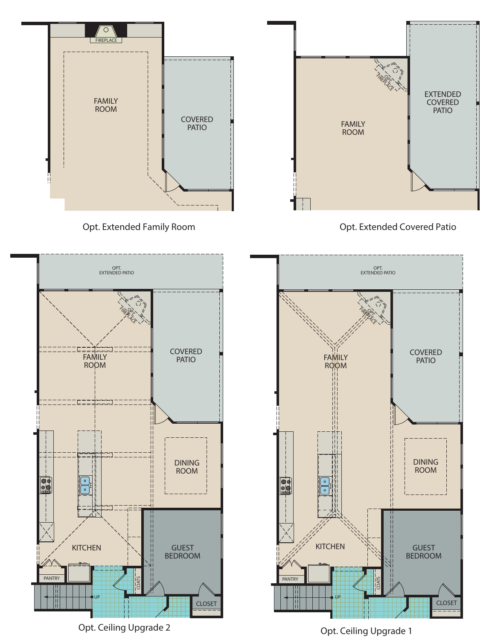

*Opt. Extended Family Room*



*Opt. Extended Covered Patio*



*Opt. Ceiling Upgrade 2*



*Opt. Ceiling Upgrade 1*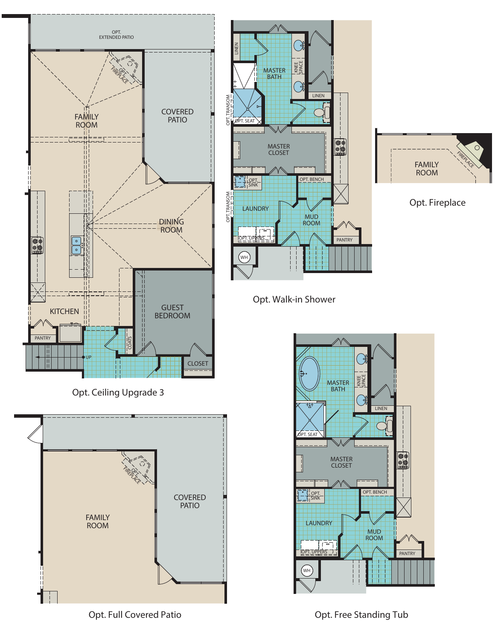







*Opt. Fireplace*

FIREPLACE

 $\circ$ 

FAMILY ROOM

*Opt. Full Covered Patio*

*Opt. Free Standing Tub*